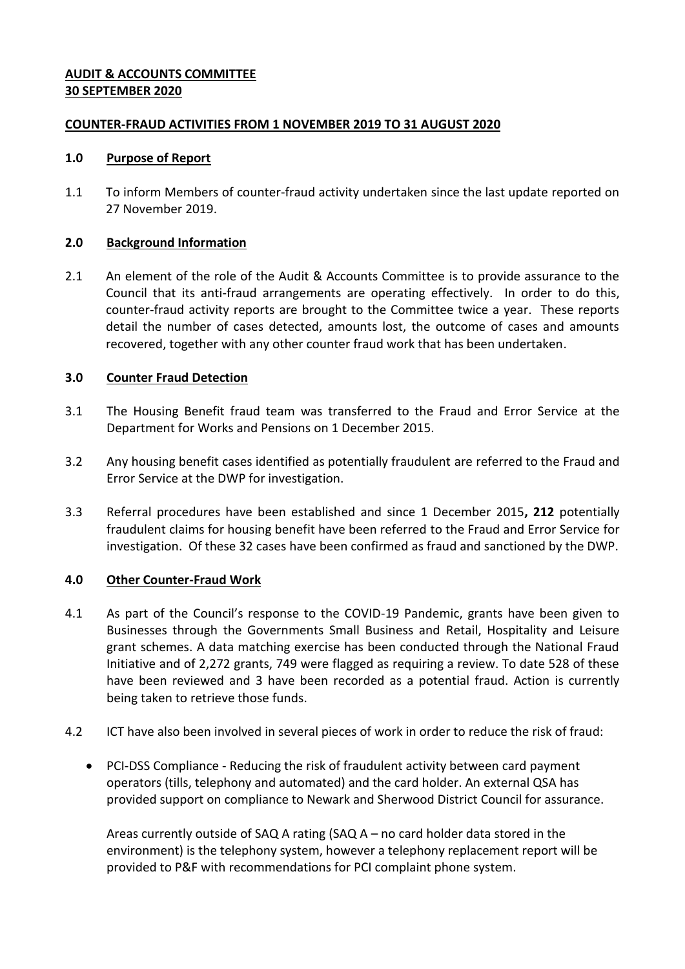## **AUDIT & ACCOUNTS COMMITTEE 30 SEPTEMBER 2020**

## **COUNTER-FRAUD ACTIVITIES FROM 1 NOVEMBER 2019 TO 31 AUGUST 2020**

#### **1.0 Purpose of Report**

1.1 To inform Members of counter-fraud activity undertaken since the last update reported on 27 November 2019.

## **2.0 Background Information**

2.1 An element of the role of the Audit & Accounts Committee is to provide assurance to the Council that its anti-fraud arrangements are operating effectively. In order to do this, counter-fraud activity reports are brought to the Committee twice a year. These reports detail the number of cases detected, amounts lost, the outcome of cases and amounts recovered, together with any other counter fraud work that has been undertaken.

# **3.0 Counter Fraud Detection**

- 3.1 The Housing Benefit fraud team was transferred to the Fraud and Error Service at the Department for Works and Pensions on 1 December 2015.
- 3.2 Any housing benefit cases identified as potentially fraudulent are referred to the Fraud and Error Service at the DWP for investigation.
- 3.3 Referral procedures have been established and since 1 December 2015**, 212** potentially fraudulent claims for housing benefit have been referred to the Fraud and Error Service for investigation. Of these 32 cases have been confirmed as fraud and sanctioned by the DWP.

# **4.0 Other Counter-Fraud Work**

- 4.1 As part of the Council's response to the COVID-19 Pandemic, grants have been given to Businesses through the Governments Small Business and Retail, Hospitality and Leisure grant schemes. A data matching exercise has been conducted through the National Fraud Initiative and of 2,272 grants, 749 were flagged as requiring a review. To date 528 of these have been reviewed and 3 have been recorded as a potential fraud. Action is currently being taken to retrieve those funds.
- 4.2 ICT have also been involved in several pieces of work in order to reduce the risk of fraud:
	- PCI-DSS Compliance Reducing the risk of fraudulent activity between card payment operators (tills, telephony and automated) and the card holder. An external QSA has provided support on compliance to Newark and Sherwood District Council for assurance.

Areas currently outside of SAQ A rating (SAQ A – no card holder data stored in the environment) is the telephony system, however a telephony replacement report will be provided to P&F with recommendations for PCI complaint phone system.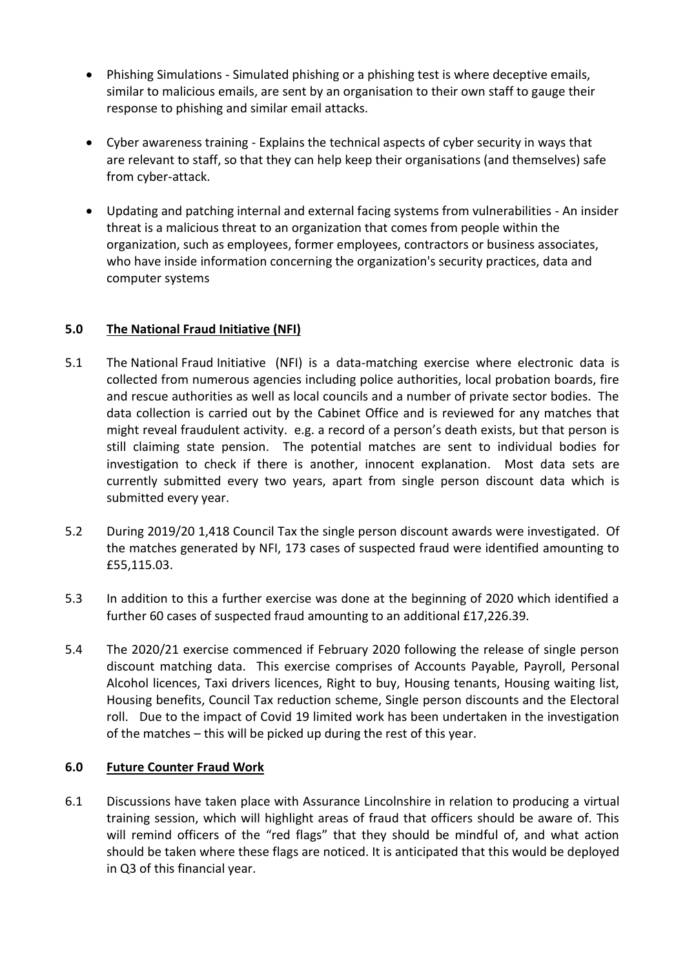- Phishing Simulations Simulated phishing or a phishing test is where deceptive emails, similar to malicious emails, are sent by an organisation to their own staff to gauge their response to phishing and similar email attacks.
- Cyber awareness training Explains the technical aspects of cyber security in ways that are relevant to staff, so that they can help keep their organisations (and themselves) safe from cyber-attack.
- Updating and patching internal and external facing systems from vulnerabilities An insider threat is a malicious threat to an organization that comes from people within the organization, such as employees, former employees, contractors or business associates, who have inside information concerning the organization's security practices, data and computer systems

# **5.0 The National Fraud Initiative (NFI)**

- 5.1 The National Fraud Initiative (NFI) is a data-matching exercise where electronic data is collected from numerous agencies including police authorities, local probation boards, fire and rescue authorities as well as local councils and a number of private sector bodies. The data collection is carried out by the Cabinet Office and is reviewed for any matches that might reveal fraudulent activity. e.g. a record of a person's death exists, but that person is still claiming state pension. The potential matches are sent to individual bodies for investigation to check if there is another, innocent explanation. Most data sets are currently submitted every two years, apart from single person discount data which is submitted every year.
- 5.2 During 2019/20 1,418 Council Tax the single person discount awards were investigated. Of the matches generated by NFI, 173 cases of suspected fraud were identified amounting to £55,115.03.
- 5.3 In addition to this a further exercise was done at the beginning of 2020 which identified a further 60 cases of suspected fraud amounting to an additional £17,226.39.
- 5.4 The 2020/21 exercise commenced if February 2020 following the release of single person discount matching data. This exercise comprises of Accounts Payable, Payroll, Personal Alcohol licences, Taxi drivers licences, Right to buy, Housing tenants, Housing waiting list, Housing benefits, Council Tax reduction scheme, Single person discounts and the Electoral roll. Due to the impact of Covid 19 limited work has been undertaken in the investigation of the matches – this will be picked up during the rest of this year.

# **6.0 Future Counter Fraud Work**

6.1 Discussions have taken place with Assurance Lincolnshire in relation to producing a virtual training session, which will highlight areas of fraud that officers should be aware of. This will remind officers of the "red flags" that they should be mindful of, and what action should be taken where these flags are noticed. It is anticipated that this would be deployed in Q3 of this financial year.